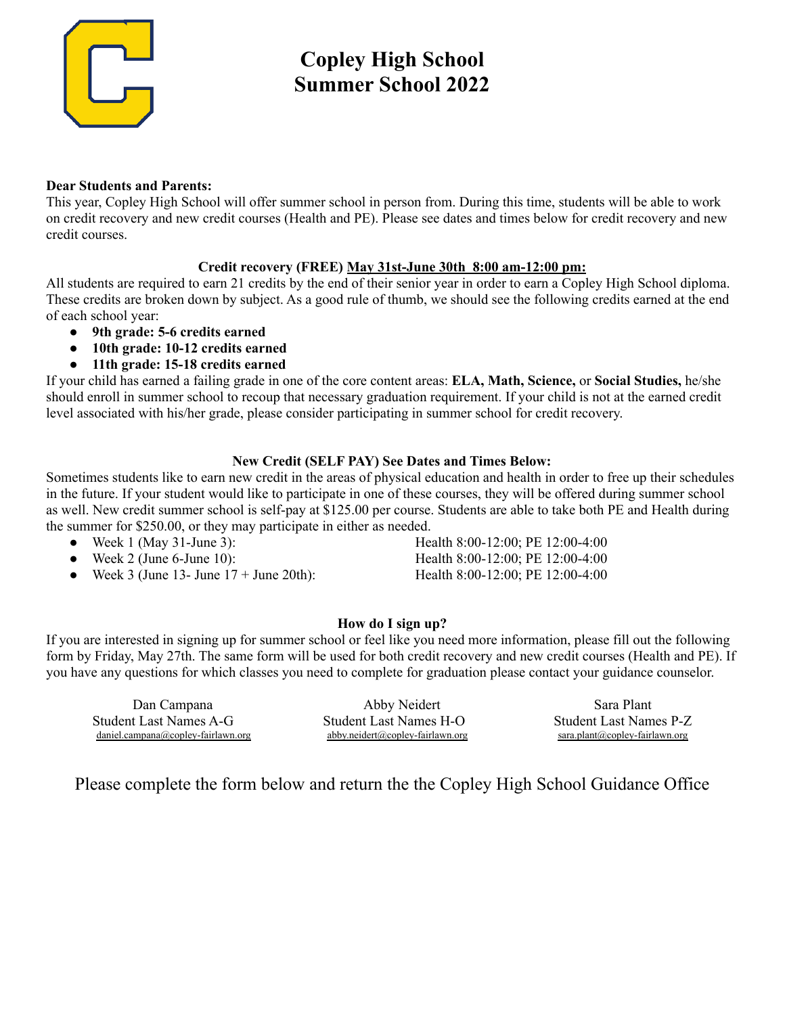

# **Copley High School Summer School 2022**

#### **Dear Students and Parents:**

This year, Copley High School will offer summer school in person from. During this time, students will be able to work on credit recovery and new credit courses (Health and PE). Please see dates and times below for credit recovery and new credit courses.

#### **Credit recovery (FREE) May 31st-June 30th 8:00 am-12:00 pm:**

All students are required to earn 21 credits by the end of their senior year in order to earn a Copley High School diploma. These credits are broken down by subject. As a good rule of thumb, we should see the following credits earned at the end of each school year:

- **9th grade: 5-6 credits earned**
- **10th grade: 10-12 credits earned**
- **11th grade: 15-18 credits earned**

If your child has earned a failing grade in one of the core content areas: **ELA, Math, Science,** or **Social Studies,** he/she should enroll in summer school to recoup that necessary graduation requirement. If your child is not at the earned credit level associated with his/her grade, please consider participating in summer school for credit recovery.

#### **New Credit (SELF PAY) See Dates and Times Below:**

Sometimes students like to earn new credit in the areas of physical education and health in order to free up their schedules in the future. If your student would like to participate in one of these courses, they will be offered during summer school as well. New credit summer school is self-pay at \$125.00 per course. Students are able to take both PE and Health during the summer for \$250.00, or they may participate in either as needed.

- 
- 
- Week 3 (June 13- June  $17 +$  June 20th): Health 8:00-12:00; PE 12:00-4:00

● Week 1 (May 31-June 3): Health 8:00-12:00; PE 12:00-4:00 ● Week 2 (June 6-June 10): Health 8:00-12:00; PE 12:00-4:00

### **How do I sign up?**

If you are interested in signing up for summer school or feel like you need more information, please fill out the following form by Friday, May 27th. The same form will be used for both credit recovery and new credit courses (Health and PE). If you have any questions for which classes you need to complete for graduation please contact your guidance counselor.

| Dan Campana                        | Abby Neidert                     | Sara Plant                       |
|------------------------------------|----------------------------------|----------------------------------|
| Student Last Names A-G             | Student Last Names H-O           |                                  |
| $daniel.campana@copy-fairlawn.org$ | abby.neidert@copley-fairlawn.org | $sara.plant@coplex-fairlawn.org$ |

### Please complete the form below and return the the Copley High School Guidance Office